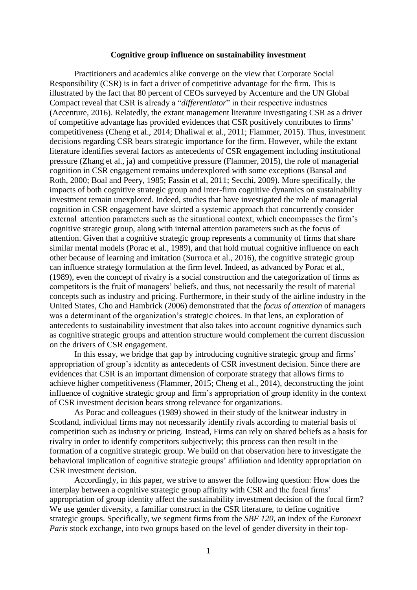## **Cognitive group influence on sustainability investment**

Practitioners and academics alike converge on the view that Corporate Social Responsibility (CSR) is in fact a driver of competitive advantage for the firm. This is illustrated by the fact that 80 percent of CEOs surveyed by Accenture and the UN Global Compact reveal that CSR is already a "*differentiator*" in their respective industries (Accenture, 2016). Relatedly, the extant management literature investigating CSR as a driver of competitive advantage has provided evidences that CSR positively contributes to firms' competitiveness (Cheng et al., 2014; Dhaliwal et al., 2011; Flammer, 2015). Thus, investment decisions regarding CSR bears strategic importance for the firm. However, while the extant literature identifies several factors as antecedents of CSR engagement including institutional pressure (Zhang et al., ja) and competitive pressure (Flammer, 2015), the role of managerial cognition in CSR engagement remains underexplored with some exceptions (Bansal and Roth, 2000; Boal and Peery, 1985; Fassin et al, 2011; Secchi, 2009). More specifically, the impacts of both cognitive strategic group and inter-firm cognitive dynamics on sustainability investment remain unexplored. Indeed, studies that have investigated the role of managerial cognition in CSR engagement have skirted a systemic approach that concurrently consider external attention parameters such as the situational context, which encompasses the firm's cognitive strategic group, along with internal attention parameters such as the focus of attention. Given that a cognitive strategic group represents a community of firms that share similar mental models (Porac et al., 1989), and that hold mutual cognitive influence on each other because of learning and imitation (Surroca et al., 2016), the cognitive strategic group can influence strategy formulation at the firm level. Indeed, as advanced by Porac et al., (1989), even the concept of rivalry is a social construction and the categorization of firms as competitors is the fruit of managers' beliefs, and thus, not necessarily the result of material concepts such as industry and pricing. Furthermore, in their study of the airline industry in the United States, Cho and Hambrick (2006) demonstrated that the *focus of attention* of managers was a determinant of the organization's strategic choices. In that lens, an exploration of antecedents to sustainability investment that also takes into account cognitive dynamics such as cognitive strategic groups and attention structure would complement the current discussion on the drivers of CSR engagement.

In this essay, we bridge that gap by introducing cognitive strategic group and firms' appropriation of group's identity as antecedents of CSR investment decision. Since there are evidences that CSR is an important dimension of corporate strategy that allows firms to achieve higher competitiveness (Flammer, 2015; Cheng et al., 2014), deconstructing the joint influence of cognitive strategic group and firm's appropriation of group identity in the context of CSR investment decision bears strong relevance for organizations.

As Porac and colleagues (1989) showed in their study of the knitwear industry in Scotland, individual firms may not necessarily identify rivals according to material basis of competition such as industry or pricing. Instead, Firms can rely on shared beliefs as a basis for rivalry in order to identify competitors subjectively; this process can then result in the formation of a cognitive strategic group. We build on that observation here to investigate the behavioral implication of cognitive strategic groups' affiliation and identity appropriation on CSR investment decision.

Accordingly, in this paper, we strive to answer the following question: How does the interplay between a cognitive strategic group affinity with CSR and the focal firms' appropriation of group identity affect the sustainability investment decision of the focal firm? We use gender diversity, a familiar construct in the CSR literature, to define cognitive strategic groups. Specifically, we segment firms from the *SBF 120*, an index of the *Euronext Paris* stock exchange, into two groups based on the level of gender diversity in their top